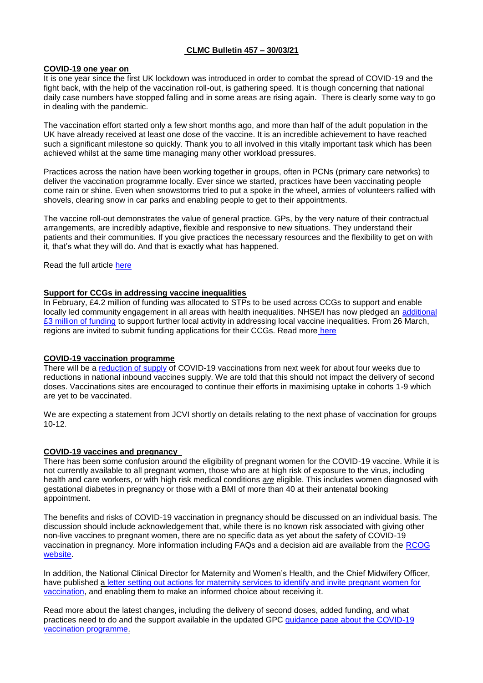## **CLMC Bulletin 457 – 30/03/21**

## **COVID-19 one year on**

It is one year since the first UK lockdown was introduced in order to combat the spread of COVID-19 and the fight back, with the help of the vaccination roll-out, is gathering speed. It is though concerning that national daily case numbers have stopped falling and in some areas are rising again. There is clearly some way to go in dealing with the pandemic.

The vaccination effort started only a few short months ago, and more than half of the adult population in the UK have already received at least one dose of the vaccine. It is an incredible achievement to have reached such a significant milestone so quickly. Thank you to all involved in this vitally important task which has been achieved whilst at the same time managing many other workload pressures.

Practices across the nation have been working together in groups, often in PCNs (primary care networks) to deliver the vaccination programme locally. Ever since we started, practices have been vaccinating people come rain or shine. Even when snowstorms tried to put a spoke in the wheel, armies of volunteers rallied with shovels, clearing snow in car parks and enabling people to get to their appointments.

The vaccine roll-out demonstrates the value of general practice. GPs, by the very nature of their contractual arrangements, are incredibly adaptive, flexible and responsive to new situations. They understand their patients and their communities. If you give practices the necessary resources and the flexibility to get on with it, that's what they will do. And that is exactly what has happened.

Read the full article [here](file:///C:/Users/Richard%20Vautrey/Downloads/COVID-19%20one%20year%20on,%20the%20fight%20back%20gathers%20speed%20(bma.org.uk))

### **Support for CCGs in addressing vaccine inequalities**

In February, £4.2 million of funding was allocated to STPs to be used across CCGs to support and enable locally led community engagement in all areas with health inequalities. NHSE/I has now pledged an additional [£3 million of funding](https://www.england.nhs.uk/coronavirus/publication/supporting-ccgs-to-address-vaccine-inequalities/) to support further local activity in addressing local vaccine inequalities. From 26 March, regions are invited to submit funding applications for their CCGs. Read more [here](https://www.england.nhs.uk/coronavirus/publication/supporting-ccgs-to-address-vaccine-inequalities/)

## **COVID-19 vaccination programme**

There will be a [reduction of supply](https://www.england.nhs.uk/coronavirus/publication/covid-19-vaccination-deployment-next-steps-on-uptake-and-supply/) of COVID-19 vaccinations from next week for about four weeks due to reductions in national inbound vaccines supply. We are told that this should not impact the delivery of second doses. Vaccinations sites are encouraged to continue their efforts in maximising uptake in cohorts 1-9 which are yet to be vaccinated.

We are expecting a statement from JCVI shortly on details relating to the next phase of vaccination for groups 10-12.

## **COVID-19 vaccines and pregnancy**

There has been some confusion around the eligibility of pregnant women for the COVID-19 vaccine. While it is not currently available to all pregnant women, those who are at high risk of exposure to the virus, including health and care workers, or with high risk medical conditions *are* eligible. This includes women diagnosed with gestational diabetes in pregnancy or those with a BMI of more than 40 at their antenatal booking appointment.

The benefits and risks of COVID-19 vaccination in pregnancy should be discussed on an individual basis. The discussion should include acknowledgement that, while there is no known risk associated with giving other non-live vaccines to pregnant women, there are no specific data as yet about the safety of COVID-19 vaccination in pregnancy. More information including FAQs and a decision aid are available from the [RCOG](https://www.rcog.org.uk/en/guidelines-research-services/coronavirus-covid-19-pregnancy-and-womens-health/covid-19-vaccines-and-pregnancy/)  [website.](https://www.rcog.org.uk/en/guidelines-research-services/coronavirus-covid-19-pregnancy-and-womens-health/covid-19-vaccines-and-pregnancy/)

In addition, the National Clinical Director for Maternity and Women's Health, and the Chief Midwifery Officer, have published a [letter setting out actions for maternity services to identify and invite pregnant women for](https://www.england.nhs.uk/coronavirus/publication/pregnancy-and-vaccination-actions-for-maternity-services/)  [vaccination,](https://www.england.nhs.uk/coronavirus/publication/pregnancy-and-vaccination-actions-for-maternity-services/) and enabling them to make an informed choice about receiving it.

Read more about the latest changes, including the delivery of second doses, added funding, and what practices need to do and the support available in the updated GPC [guidance page about the COVID-19](https://www.bma.org.uk/advice-and-support/covid-19/gp-practices/covid-19-vaccination-programme)  [vaccination programme.](https://www.bma.org.uk/advice-and-support/covid-19/gp-practices/covid-19-vaccination-programme)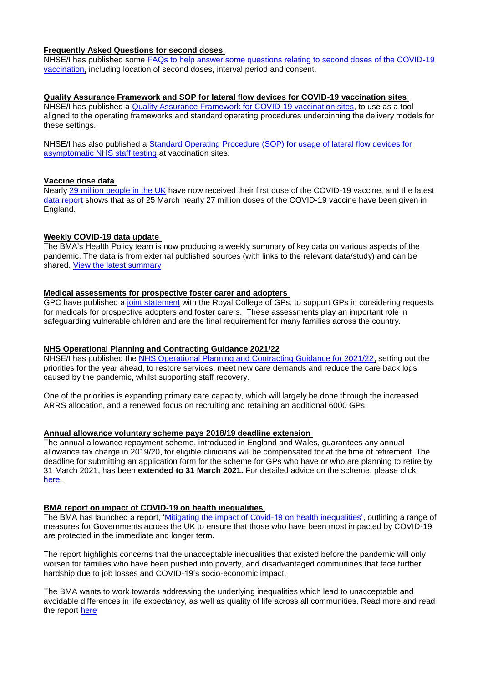# **Frequently Asked Questions for second doses**

NHSE/I has published some [FAQs to help answer some questions relating to second doses of the COVID-19](https://www.england.nhs.uk/coronavirus/publication/covid-19-vaccination-programme-faqs-on-second-doses/)  [vaccination,](https://www.england.nhs.uk/coronavirus/publication/covid-19-vaccination-programme-faqs-on-second-doses/) including location of second doses, interval period and consent.

## **Quality Assurance Framework and SOP for lateral flow devices for COVID-19 vaccination sites**

NHSE/I has published a [Quality Assurance Framework for COVID-19 vaccination sites,](https://www.england.nhs.uk/coronavirus/publication/quality-assurance-framework-covid-19-vaccination-sites/) to use as a tool aligned to the operating frameworks and standard operating procedures underpinning the delivery models for these settings.

NHSE/I has also published a [Standard Operating Procedure \(SOP\) for usage of lateral flow devices for](https://www.england.nhs.uk/coronavirus/publication/standard-operating-procedure-usage-of-lateral-flow-devices-for-asymptomatic-staff-testing-at-vaccination-sites/)  [asymptomatic NHS staff testing](https://www.england.nhs.uk/coronavirus/publication/standard-operating-procedure-usage-of-lateral-flow-devices-for-asymptomatic-staff-testing-at-vaccination-sites/) at vaccination sites.

### **Vaccine dose data**

Nearly [29 million people in the UK](https://coronavirus.data.gov.uk/details/vaccinations) have now received their first dose of the COVID-19 vaccine, and the latest [data report](https://www.england.nhs.uk/statistics/statistical-work-areas/covid-19-vaccinations/) shows that as of 25 March nearly 27 million doses of the COVID-19 vaccine have been given in England.

## **Weekly COVID-19 data update**

The BMA's Health Policy team is now producing a weekly summary of key data on various aspects of the pandemic. The data is from external published sources (with links to the relevant data/study) and can be shared. [View the latest summary](https://www.clevelandlmc.org.uk/website/IGP367/files/Weekly%20Covid-19%20data%20update.pptx)

### **Medical assessments for prospective foster carer and adopters**

GPC have published a [joint statement](https://www.rcgp.org.uk/about-us/news/2021/march/medical-assessments-for-prospective-foster-carer-and-adopters-statement.aspx) with the Royal College of GPs, to support GPs in considering requests for medicals for prospective adopters and foster carers. These assessments play an important role in safeguarding vulnerable children and are the final requirement for many families across the country.

## **NHS Operational Planning and Contracting Guidance 2021/22**

NHSE/I has published the [NHS Operational Planning and Contracting Guidance for 2021/22,](https://www.england.nhs.uk/operational-planning-and-contracting/) setting out the priorities for the year ahead, to restore services, meet new care demands and reduce the care back logs caused by the pandemic, whilst supporting staff recovery.

One of the priorities is expanding primary care capacity, which will largely be done through the increased ARRS allocation, and a renewed focus on recruiting and retaining an additional 6000 GPs.

### **Annual allowance voluntary scheme pays 2018/19 deadline extension**

The annual allowance repayment scheme, introduced in England and Wales, guarantees any annual allowance tax charge in 2019/20, for eligible clinicians will be compensated for at the time of retirement. The deadline for submitting an application form for the scheme for GPs who have or who are planning to retire by 31 March 2021, has been **extended to 31 March 2021.** For detailed advice on the scheme, please click [here.](https://www.england.nhs.uk/pensions/)

## **BMA report on impact of COVID-19 on health inequalities**

The BMA has launched a report, ['Mitigating the impact of Covid-19 on health inequalities',](https://www.bma.org.uk/media/3944/bma-mitigating-the-impact-of-covid-19-on-health-inequalities-report-march-2021.pdf) outlining a range of measures for Governments across the UK to ensure that those who have been most impacted by COVID-19 are protected in the immediate and longer term.

The report highlights concerns that the unacceptable inequalities that existed before the pandemic will only worsen for families who have been pushed into poverty, and disadvantaged communities that face further hardship due to job losses and COVID-19's socio-economic impact.

The BMA wants to work towards addressing the underlying inequalities which lead to unacceptable and avoidable differences in life expectancy, as well as quality of life across all communities. Read more and read the report [here](https://www.bma.org.uk/bma-media-centre/moral-and-economic-case-to-protect-most-vulnerable-from-worsening-health-inequalities-bma-report-warns)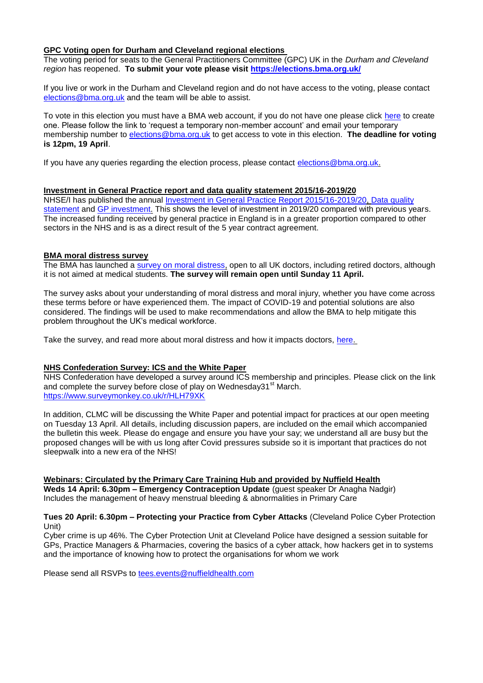## **GPC Voting open for Durham and Cleveland regional elections**

The voting period for seats to the General Practitioners Committee (GPC) UK in the *Durham and Cleveland region* has reopened. **To submit your vote please visit<https://elections.bma.org.uk/>**

If you live or work in the Durham and Cleveland region and do not have access to the voting, please contact [elections@bma.org.uk](mailto:elections@bma.org.uk) and the team will be able to assist.

To vote in this election you must have a BMA web account, if you do not have one please click [here](https://www.bma.org.uk/what-we-do/committees/committee-information/committee-elections) to create one. Please follow the link to 'request a temporary non-member account' and email your temporary membership number to [elections@bma.org.uk](mailto:elections@bma.org.uk) to get access to vote in this election. **The deadline for voting is 12pm, 19 April**.

If you have any queries regarding the election process, please contact [elections@bma.org.uk.](mailto:elections@bma.org.uk)

### **Investment in General Practice report and data quality statement 2015/16-2019/20**

NHSE/I has published the annual [Investment in General Practice Report 2015/16-2019/20,](https://www.england.nhs.uk/publication/investment-in-general-practice-in-england-2015-16-to-2019-20/) [Data quality](https://www.england.nhs.uk/gp/investment/investment-in-general-practice-in-england-2015-16-to-2019-20-data-quality-statement/)  [statement](https://www.england.nhs.uk/gp/investment/investment-in-general-practice-in-england-2015-16-to-2019-20-data-quality-statement/) and [GP investment.](https://www.england.nhs.uk/gp/investment/) This shows the level of investment in 2019/20 compared with previous years. The increased funding received by general practice in England is in a greater proportion compared to other sectors in the NHS and is as a direct result of the 5 year contract agreement.

### **BMA moral distress survey**

The BMA has launched a [survey on moral distress,](https://www.surveymonkey.co.uk/r/Moral_distress_2021) open to all UK doctors, including retired doctors, although it is not aimed at medical students. **The survey will remain open until Sunday 11 April.**

The survey asks about your understanding of moral distress and moral injury, whether you have come across these terms before or have experienced them. The impact of COVID-19 and potential solutions are also considered. The findings will be used to make recommendations and allow the BMA to help mitigate this problem throughout the UK's medical workforce.

Take the survey, and read more about moral distress and how it impacts doctors, [here.](https://www.bma.org.uk/news-and-opinion/overshadowed-at-work)

## **NHS Confederation Survey: ICS and the White Paper**

NHS Confederation have developed a survey around ICS membership and principles. Please click on the link and complete the survey before close of play on Wednesday31 $\mathrm{^{st}}$  March. <https://www.surveymonkey.co.uk/r/HLH79XK>

In addition, CLMC will be discussing the White Paper and potential impact for practices at our open meeting on Tuesday 13 April. All details, including discussion papers, are included on the email which accompanied the bulletin this week. Please do engage and ensure you have your say; we understand all are busy but the proposed changes will be with us long after Covid pressures subside so it is important that practices do not sleepwalk into a new era of the NHS!

#### **Webinars: Circulated by the Primary Care Training Hub and provided by Nuffield Health**

**Weds 14 April: 6.30pm – Emergency Contraception Update** (guest speaker Dr Anagha Nadgir) Includes the management of heavy menstrual bleeding & abnormalities in Primary Care

### **Tues 20 April: 6.30pm – Protecting your Practice from Cyber Attacks** (Cleveland Police Cyber Protection Unit)

Cyber crime is up 46%. The Cyber Protection Unit at Cleveland Police have designed a session suitable for GPs, Practice Managers & Pharmacies, covering the basics of a cyber attack, how hackers get in to systems and the importance of knowing how to protect the organisations for whom we work

Please send all RSVPs to [tees.events@nuffieldhealth.com](mailto:tees.events@nuffieldhealth.com)